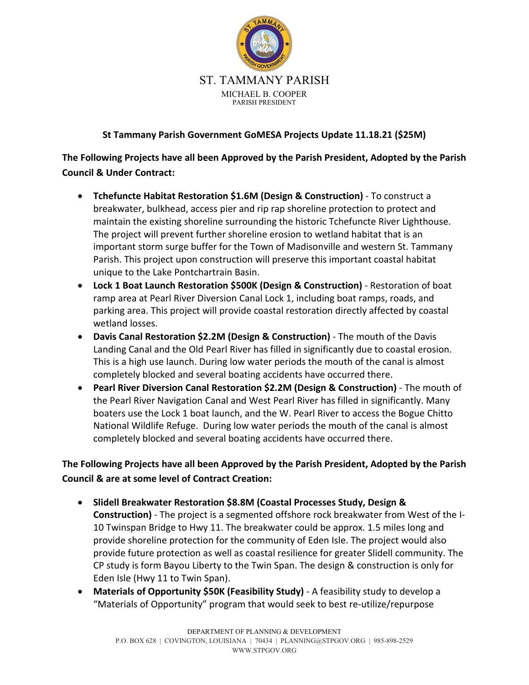

## **St Tammany Parish Government GoMESA Projects Update 11.18.21 (\$25M)**

**The Following Projects have all been Approved by the Parish President, Adopted by the Parish Council & Under Contract:**

- **Tchefuncte Habitat Restoration \$1.6M (Design & Construction)** To construct a breakwater, bulkhead, access pier and rip rap shoreline protection to protect and maintain the existing shoreline surrounding the historic Tchefuncte River Lighthouse. The project will prevent further shoreline erosion to wetland habitat that is an important storm surge buffer for the Town of Madisonville and western St. Tammany Parish. This project upon construction will preserve this important coastal habitat unique to the Lake Pontchartrain Basin.
- **Lock 1 Boat Launch Restoration \$500K (Design & Construction)** Restoration of boat ramp area at Pearl River Diversion Canal Lock 1, including boat ramps, roads, and parking area. This project will provide coastal restoration directly affected by coastal wetland losses.
- **Davis Canal Restoration \$2.2M (Design & Construction)** The mouth of the Davis Landing Canal and the Old Pearl River has filled in significantly due to coastal erosion. This is a high use launch. During low water periods the mouth of the canal is almost completely blocked and several boating accidents have occurred there.
- **Pearl River Diversion Canal Restoration \$2.2M (Design & Construction)** The mouth of the Pearl River Navigation Canal and West Pearl River has filled in significantly. Many boaters use the Lock 1 boat launch, and the W. Pearl River to access the Bogue Chitto National Wildlife Refuge. During low water periods the mouth of the canal is almost completely blocked and several boating accidents have occurred there.

**The Following Projects have all been Approved by the Parish President, Adopted by the Parish Council & are at some level of Contract Creation:**

- **Slidell Breakwater Restoration \$8.8M (Coastal Processes Study, Design & Construction)** - The project is a segmented offshore rock breakwater from West of the I-10 Twinspan Bridge to Hwy 11. The breakwater could be approx. 1.5 miles long and provide shoreline protection for the community of Eden Isle. The project would also provide future protection as well as coastal resilience for greater Slidell community. The CP study is form Bayou Liberty to the Twin Span. The design & construction is only for Eden Isle (Hwy 11 to Twin Span).
- **Materials of Opportunity \$50K (Feasibility Study)** A feasibility study to develop a "Materials of Opportunity" program that would seek to best re-utilize/repurpose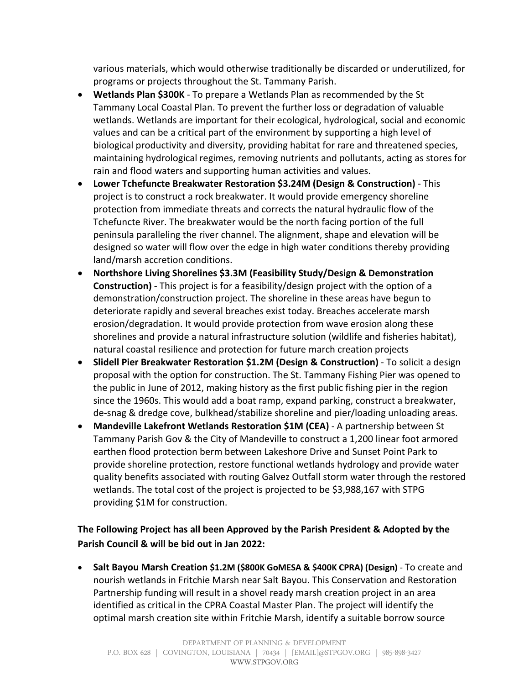various materials, which would otherwise traditionally be discarded or underutilized, for programs or projects throughout the St. Tammany Parish.

- **Wetlands Plan \$300K** To prepare a Wetlands Plan as recommended by the St Tammany Local Coastal Plan. To prevent the further loss or degradation of valuable wetlands. Wetlands are important for their ecological, hydrological, social and economic values and can be a critical part of the environment by supporting a high level of biological productivity and diversity, providing habitat for rare and threatened species, maintaining hydrological regimes, removing nutrients and pollutants, acting as stores for rain and flood waters and supporting human activities and values.
- **Lower Tchefuncte Breakwater Restoration \$3.24M (Design & Construction)** This project is to construct a rock breakwater. It would provide emergency shoreline protection from immediate threats and corrects the natural hydraulic flow of the Tchefuncte River. The breakwater would be the north facing portion of the full peninsula paralleling the river channel. The alignment, shape and elevation will be designed so water will flow over the edge in high water conditions thereby providing land/marsh accretion conditions.
- **Northshore Living Shorelines \$3.3M (Feasibility Study/Design & Demonstration Construction)** - This project is for a feasibility/design project with the option of a demonstration/construction project. The shoreline in these areas have begun to deteriorate rapidly and several breaches exist today. Breaches accelerate marsh erosion/degradation. It would provide protection from wave erosion along these shorelines and provide a natural infrastructure solution (wildlife and fisheries habitat), natural coastal resilience and protection for future march creation projects
- **Slidell Pier Breakwater Restoration \$1.2M (Design & Construction)** To solicit a design proposal with the option for construction. The St. Tammany Fishing Pier was opened to the public in June of 2012, making history as the first public fishing pier in the region since the 1960s. This would add a boat ramp, expand parking, construct a breakwater, de-snag & dredge cove, bulkhead/stabilize shoreline and pier/loading unloading areas.
- **Mandeville Lakefront Wetlands Restoration \$1M (CEA)** A partnership between St Tammany Parish Gov & the City of Mandeville to construct a 1,200 linear foot armored earthen flood protection berm between Lakeshore Drive and Sunset Point Park to provide shoreline protection, restore functional wetlands hydrology and provide water quality benefits associated with routing Galvez Outfall storm water through the restored wetlands. The total cost of the project is projected to be \$3,988,167 with STPG providing \$1M for construction.

## **The Following Project has all been Approved by the Parish President & Adopted by the Parish Council & will be bid out in Jan 2022:**

• **Salt Bayou Marsh Creation \$1.2M (\$800K GoMESA & \$400K CPRA) (Design)** - To create and nourish wetlands in Fritchie Marsh near Salt Bayou. This Conservation and Restoration Partnership funding will result in a shovel ready marsh creation project in an area identified as critical in the CPRA Coastal Master Plan. The project will identify the optimal marsh creation site within Fritchie Marsh, identify a suitable borrow source